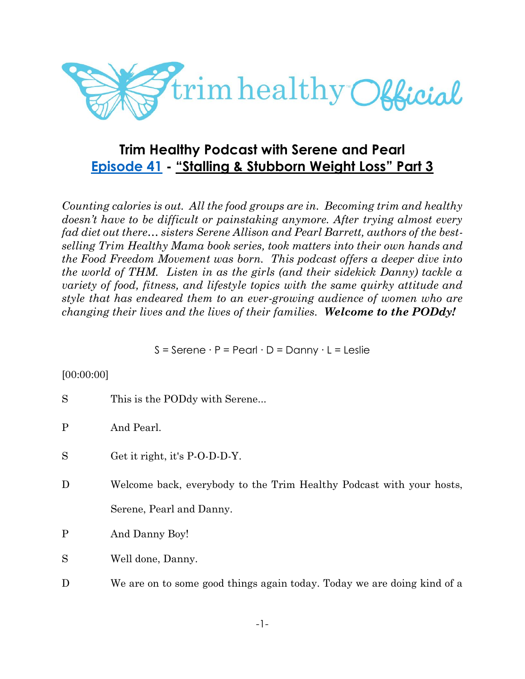

# **Trim Healthy Podcast with Serene and Pearl [Episode 41](https://cms.megaphone.fm/channel/trimhealthypodcast?selected=ADL1805089515) - "Stalling & Stubborn Weight Loss" Part 3**

*Counting calories is out. All the food groups are in. Becoming trim and healthy doesn't have to be difficult or painstaking anymore. After trying almost every fad diet out there… sisters Serene Allison and Pearl Barrett, authors of the bestselling Trim Healthy Mama book series, took matters into their own hands and the Food Freedom Movement was born. This podcast offers a deeper dive into the world of THM. Listen in as the girls (and their sidekick Danny) tackle a variety of food, fitness, and lifestyle topics with the same quirky attitude and style that has endeared them to an ever-growing audience of women who are changing their lives and the lives of their families. Welcome to the PODdy!*

S = Serene ∙ P = Pearl ∙ D = Danny ∙ L = Leslie

### [00:00:00]

| S            | This is the PODdy with Serene                                           |
|--------------|-------------------------------------------------------------------------|
| $\mathbf{P}$ | And Pearl.                                                              |
| S            | Get it right, it's P-O-D-D-Y.                                           |
| D            | Welcome back, everybody to the Trim Healthy Podcast with your hosts,    |
|              | Serene, Pearl and Danny.                                                |
| $\mathbf{P}$ | And Danny Boy!                                                          |
| S            | Well done, Danny.                                                       |
| D            | We are on to some good things again today. Today we are doing kind of a |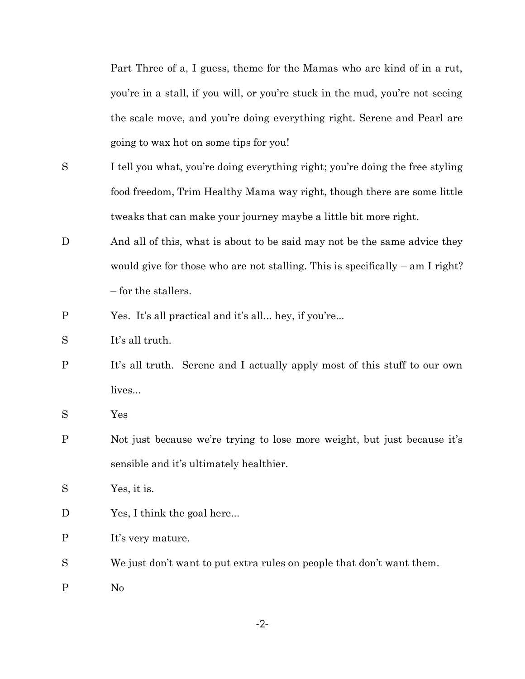Part Three of a, I guess, theme for the Mamas who are kind of in a rut, you're in a stall, if you will, or you're stuck in the mud, you're not seeing the scale move, and you're doing everything right. Serene and Pearl are going to wax hot on some tips for you!

- S I tell you what, you're doing everything right; you're doing the free styling food freedom, Trim Healthy Mama way right, though there are some little tweaks that can make your journey maybe a little bit more right.
- D And all of this, what is about to be said may not be the same advice they would give for those who are not stalling. This is specifically – am I right? – for the stallers.
- P Yes. It's all practical and it's all... hey, if you're...
- S It's all truth.
- P It's all truth. Serene and I actually apply most of this stuff to our own lives...
- S Yes
- P Not just because we're trying to lose more weight, but just because it's sensible and it's ultimately healthier.
- S Yes, it is.
- D Yes, I think the goal here...
- P It's very mature.
- S We just don't want to put extra rules on people that don't want them.
- P No

-2-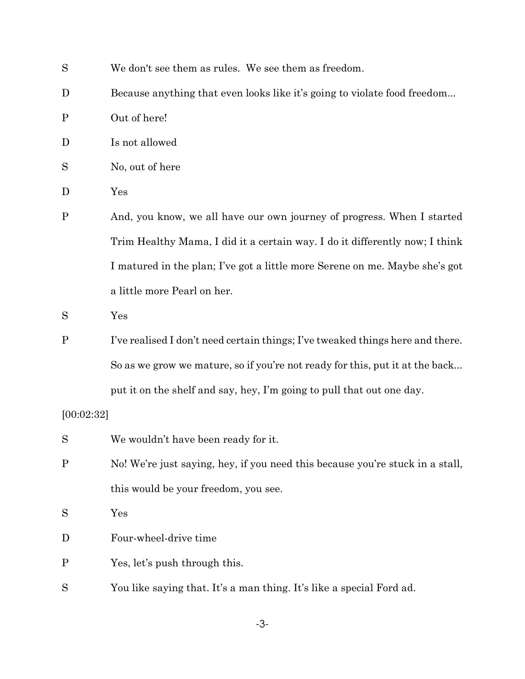| S           | We don't see them as rules. We see them as freedom.                            |
|-------------|--------------------------------------------------------------------------------|
| D           | Because anything that even looks like it's going to violate food freedom       |
| $\mathbf P$ | Out of here!                                                                   |
| D           | Is not allowed                                                                 |
| S           | No, out of here                                                                |
| D           | Yes                                                                            |
| $\mathbf P$ | And, you know, we all have our own journey of progress. When I started         |
|             | Trim Healthy Mama, I did it a certain way. I do it differently now; I think    |
|             | I matured in the plan; I've got a little more Serene on me. Maybe she's got    |
|             | a little more Pearl on her.                                                    |
| S           | Yes                                                                            |
| $\mathbf P$ | I've realised I don't need certain things; I've tweaked things here and there. |
|             | So as we grow we mature, so if you're not ready for this, put it at the back   |
|             | put it on the shelf and say, hey, I'm going to pull that out one day.          |
| [00:02:32]  |                                                                                |
| S           | We wouldn't have been ready for it.                                            |
| $\mathbf P$ | No! We're just saying, hey, if you need this because you're stuck in a stall,  |
|             | this would be your freedom, you see.                                           |
| S           | Yes                                                                            |
| D           | Four-wheel-drive time                                                          |
| $\mathbf P$ | Yes, let's push through this.                                                  |
| S           | You like saying that. It's a man thing. It's like a special Ford ad.           |

-3-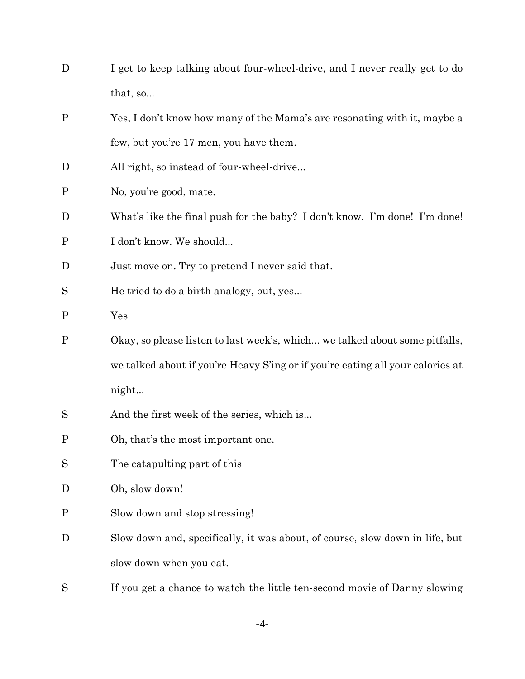| D           | I get to keep talking about four-wheel-drive, and I never really get to do     |
|-------------|--------------------------------------------------------------------------------|
|             | that, so                                                                       |
| $\mathbf P$ | Yes, I don't know how many of the Mama's are resonating with it, maybe a       |
|             | few, but you're 17 men, you have them.                                         |
| D           | All right, so instead of four-wheel-drive                                      |
| $\mathbf P$ | No, you're good, mate.                                                         |
| D           | What's like the final push for the baby? I don't know. I'm done! I'm done!     |
| $\mathbf P$ | I don't know. We should                                                        |
| D           | Just move on. Try to pretend I never said that.                                |
| S           | He tried to do a birth analogy, but, yes                                       |
| $\mathbf P$ | Yes                                                                            |
| $\mathbf P$ | Okay, so please listen to last week's, which we talked about some pitfalls,    |
|             | we talked about if you're Heavy S'ing or if you're eating all your calories at |
|             | night                                                                          |
| S           | And the first week of the series, which is                                     |
| $\mathbf P$ | Oh, that's the most important one.                                             |
| S           | The catapulting part of this                                                   |
| D           | Oh, slow down!                                                                 |
| $\mathbf P$ | Slow down and stop stressing!                                                  |
| D           | Slow down and, specifically, it was about, of course, slow down in life, but   |
|             | slow down when you eat.                                                        |
| S           | If you get a chance to watch the little ten-second movie of Danny slowing      |

-4-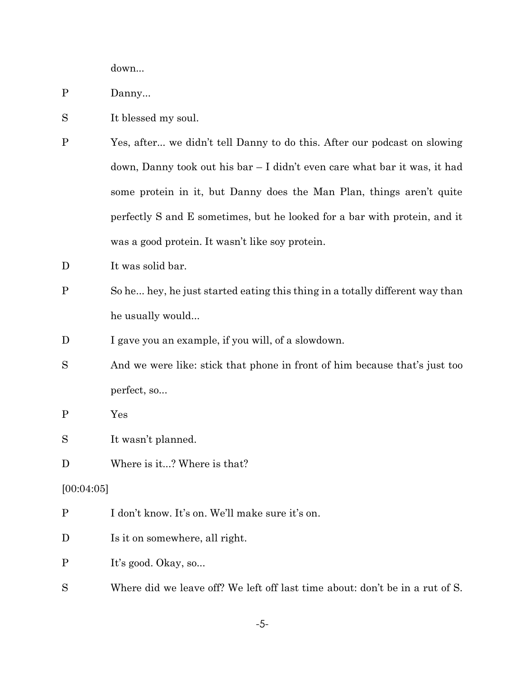down...

- P Danny...
- S It blessed my soul.
- P Yes, after... we didn't tell Danny to do this. After our podcast on slowing down, Danny took out his bar – I didn't even care what bar it was, it had some protein in it, but Danny does the Man Plan, things aren't quite perfectly S and E sometimes, but he looked for a bar with protein, and it was a good protein. It wasn't like soy protein.
- D It was solid bar.
- P So he... hey, he just started eating this thing in a totally different way than he usually would...
- D I gave you an example, if you will, of a slowdown.
- S And we were like: stick that phone in front of him because that's just too perfect, so...
- P Yes

S It wasn't planned.

D Where is it...? Where is that?

[00:04:05]

| $\mathbf P$ | I don't know. It's on. We'll make sure it's on. |  |  |  |  |
|-------------|-------------------------------------------------|--|--|--|--|
|-------------|-------------------------------------------------|--|--|--|--|

D Is it on somewhere, all right.

P It's good. Okay, so...

S Where did we leave off? We left off last time about: don't be in a rut of S.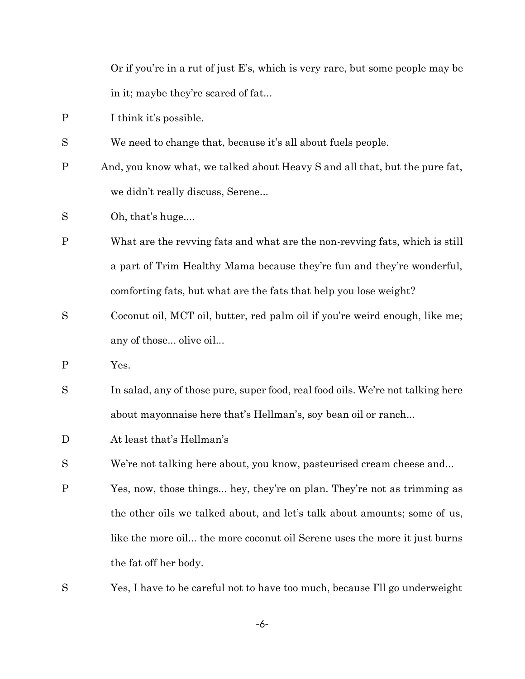Or if you're in a rut of just E's, which is very rare, but some people may be in it; maybe they're scared of fat...

- P I think it's possible.
- S We need to change that, because it's all about fuels people.
- P And, you know what, we talked about Heavy S and all that, but the pure fat, we didn't really discuss, Serene...
- S Oh, that's huge....
- P What are the revving fats and what are the non-revving fats, which is still a part of Trim Healthy Mama because they're fun and they're wonderful, comforting fats, but what are the fats that help you lose weight?
- S Coconut oil, MCT oil, butter, red palm oil if you're weird enough, like me; any of those... olive oil...
- P Yes.
- S In salad, any of those pure, super food, real food oils. We're not talking here about mayonnaise here that's Hellman's, soy bean oil or ranch...
- D At least that's Hellman's
- S We're not talking here about, you know, pasteurised cream cheese and...
- P Yes, now, those things... hey, they're on plan. They're not as trimming as the other oils we talked about, and let's talk about amounts; some of us, like the more oil... the more coconut oil Serene uses the more it just burns the fat off her body.
- S Yes, I have to be careful not to have too much, because I'll go underweight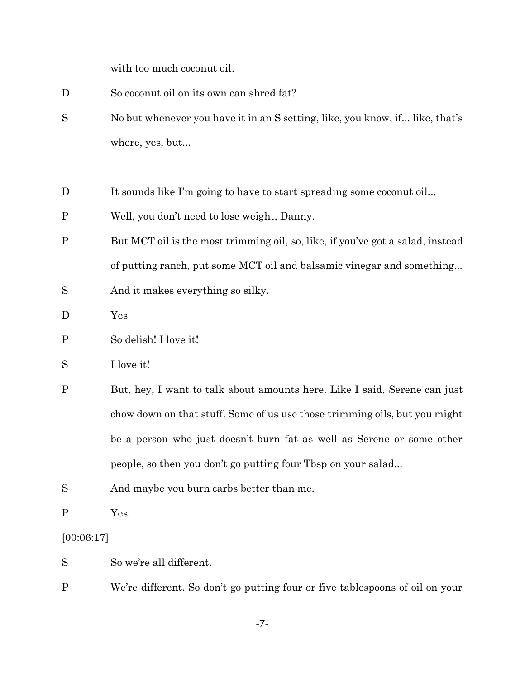with too much coconut oil.

| D            | So coconut oil on its own can shred fat?                                       |  |  |  |  |  |
|--------------|--------------------------------------------------------------------------------|--|--|--|--|--|
| S            | No but whenever you have it in an S setting, like, you know, if like, that's   |  |  |  |  |  |
|              | where, yes, but                                                                |  |  |  |  |  |
|              |                                                                                |  |  |  |  |  |
| D            | It sounds like I'm going to have to start spreading some coconut oil           |  |  |  |  |  |
| $\mathbf P$  | Well, you don't need to lose weight, Danny.                                    |  |  |  |  |  |
| $\mathbf P$  | But MCT oil is the most trimming oil, so, like, if you've got a salad, instead |  |  |  |  |  |
|              | of putting ranch, put some MCT oil and balsamic vinegar and something          |  |  |  |  |  |
| S            | And it makes everything so silky.                                              |  |  |  |  |  |
| D            | Yes                                                                            |  |  |  |  |  |
| $\mathbf P$  | So delish! I love it!                                                          |  |  |  |  |  |
| S            | I love it!                                                                     |  |  |  |  |  |
| $\mathbf P$  | But, hey, I want to talk about amounts here. Like I said, Serene can just      |  |  |  |  |  |
|              | chow down on that stuff. Some of us use those trimming oils, but you might     |  |  |  |  |  |
|              | be a person who just doesn't burn fat as well as Serene or some other          |  |  |  |  |  |
|              | people, so then you don't go putting four Tbsp on your salad                   |  |  |  |  |  |
| S            | And maybe you burn carbs better than me.                                       |  |  |  |  |  |
| $\mathbf{P}$ | Yes.                                                                           |  |  |  |  |  |
| [00:06:17]   |                                                                                |  |  |  |  |  |

So we're all different.

P We're different. So don't go putting four or five tablespoons of oil on your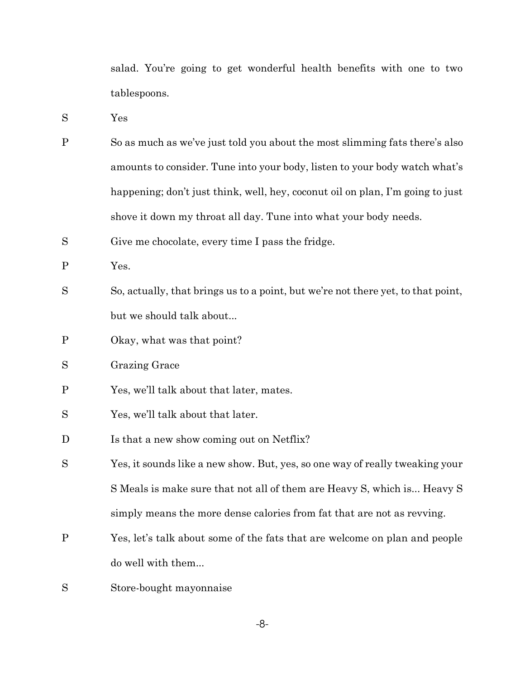salad. You're going to get wonderful health benefits with one to two tablespoons.

S Yes

- P So as much as we've just told you about the most slimming fats there's also amounts to consider. Tune into your body, listen to your body watch what's happening; don't just think, well, hey, coconut oil on plan, I'm going to just shove it down my throat all day. Tune into what your body needs.
- S Give me chocolate, every time I pass the fridge.

P Yes.

- S So, actually, that brings us to a point, but we're not there yet, to that point, but we should talk about...
- P Okay, what was that point?
- S Grazing Grace
- P Yes, we'll talk about that later, mates.
- S Yes, we'll talk about that later.
- D Is that a new show coming out on Netflix?
- S Yes, it sounds like a new show. But, yes, so one way of really tweaking your S Meals is make sure that not all of them are Heavy S, which is... Heavy S simply means the more dense calories from fat that are not as revving.
- P Yes, let's talk about some of the fats that are welcome on plan and people do well with them...
- S Store-bought mayonnaise

-8-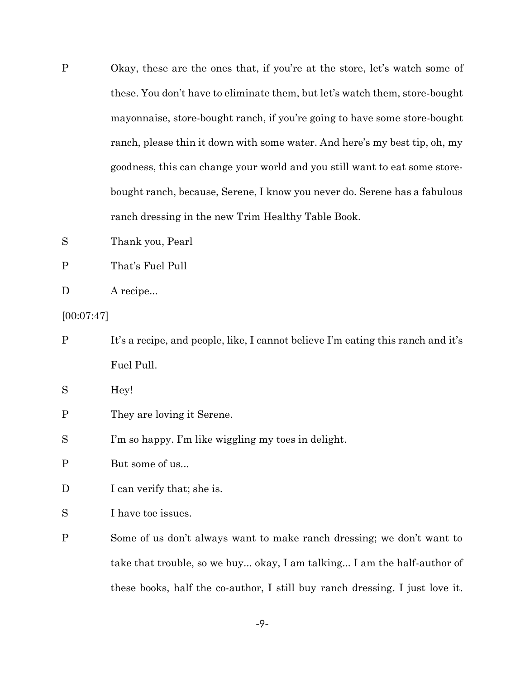- P Okay, these are the ones that, if you're at the store, let's watch some of these. You don't have to eliminate them, but let's watch them, store-bought mayonnaise, store-bought ranch, if you're going to have some store-bought ranch, please thin it down with some water. And here's my best tip, oh, my goodness, this can change your world and you still want to eat some storebought ranch, because, Serene, I know you never do. Serene has a fabulous ranch dressing in the new Trim Healthy Table Book.
- S Thank you, Pearl
- P That's Fuel Pull

| A recipe |
|----------|
|          |

[00:07:47]

- P It's a recipe, and people, like, I cannot believe I'm eating this ranch and it's Fuel Pull. S Hey! P They are loving it Serene. S I'm so happy. I'm like wiggling my toes in delight. P But some of us...
- D I can verify that; she is.
- S I have toe issues.
- P Some of us don't always want to make ranch dressing; we don't want to take that trouble, so we buy... okay, I am talking... I am the half-author of these books, half the co-author, I still buy ranch dressing. I just love it.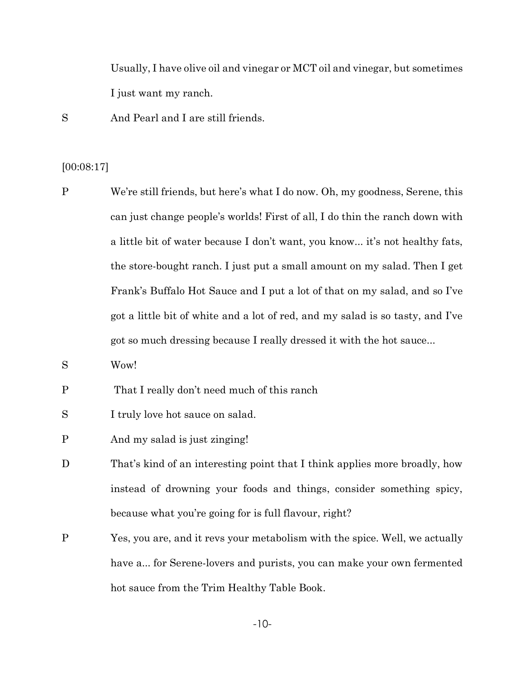Usually, I have olive oil and vinegar or MCT oil and vinegar, but sometimes I just want my ranch.

S And Pearl and I are still friends.

#### [00:08:17]

- P We're still friends, but here's what I do now. Oh, my goodness, Serene, this can just change people's worlds! First of all, I do thin the ranch down with a little bit of water because I don't want, you know... it's not healthy fats, the store-bought ranch. I just put a small amount on my salad. Then I get Frank's Buffalo Hot Sauce and I put a lot of that on my salad, and so I've got a little bit of white and a lot of red, and my salad is so tasty, and I've got so much dressing because I really dressed it with the hot sauce...
- S Wow!
- P That I really don't need much of this ranch
- S I truly love hot sauce on salad.
- P And my salad is just zinging!
- D That's kind of an interesting point that I think applies more broadly, how instead of drowning your foods and things, consider something spicy, because what you're going for is full flavour, right?
- P Yes, you are, and it revs your metabolism with the spice. Well, we actually have a... for Serene-lovers and purists, you can make your own fermented hot sauce from the Trim Healthy Table Book.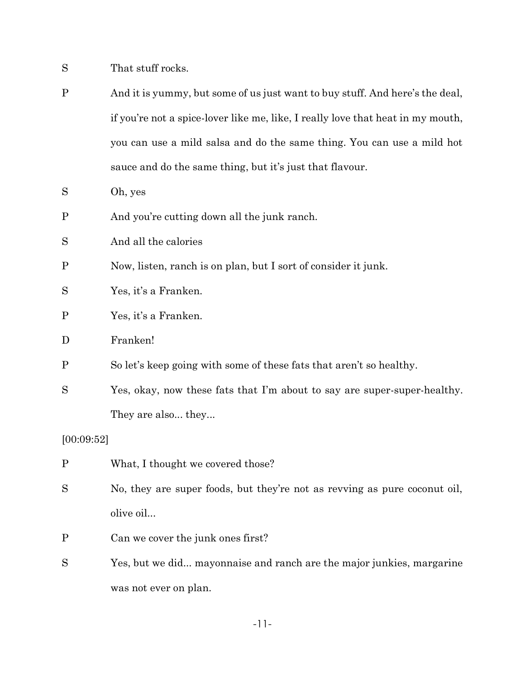- S That stuff rocks.
- P And it is yummy, but some of us just want to buy stuff. And here's the deal, if you're not a spice-lover like me, like, I really love that heat in my mouth, you can use a mild salsa and do the same thing. You can use a mild hot sauce and do the same thing, but it's just that flavour.
- S Oh, yes
- P And you're cutting down all the junk ranch.
- S And all the calories
- P Now, listen, ranch is on plan, but I sort of consider it junk.
- S Yes, it's a Franken.
- P Yes, it's a Franken.
- D Franken!
- P So let's keep going with some of these fats that aren't so healthy.
- S Yes, okay, now these fats that I'm about to say are super-super-healthy. They are also... they...

#### [00:09:52]

- P What, I thought we covered those?
- S No, they are super foods, but they're not as revving as pure coconut oil, olive oil...
- P Can we cover the junk ones first?
- S Yes, but we did... mayonnaise and ranch are the major junkies, margarine was not ever on plan.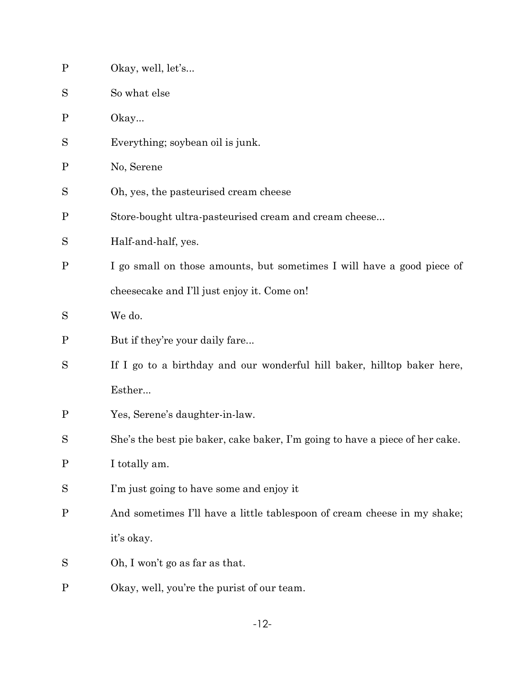| $\mathbf P$  | Okay, well, let's                                                            |
|--------------|------------------------------------------------------------------------------|
| S            | So what else                                                                 |
| $\mathbf P$  | $O\$ {Ray}                                                                   |
| S            | Everything; soybean oil is junk.                                             |
| $\mathbf{P}$ | No, Serene                                                                   |
| S            | Oh, yes, the pasteurised cream cheese                                        |
| $\mathbf{P}$ | Store-bought ultra-pasteurised cream and cream cheese                        |
| S            | Half-and-half, yes.                                                          |
| $\mathbf P$  | I go small on those amounts, but sometimes I will have a good piece of       |
|              | cheesecake and I'll just enjoy it. Come on!                                  |
| S            | We do.                                                                       |
| $\mathbf{P}$ | But if they're your daily fare                                               |
| S            | If I go to a birthday and our wonderful hill baker, hilltop baker here,      |
|              | Esther                                                                       |
| $\mathbf P$  | Yes, Serene's daughter-in-law.                                               |
| S            | She's the best pie baker, cake baker, I'm going to have a piece of her cake. |
| $\mathbf P$  | I totally am.                                                                |
| S            | I'm just going to have some and enjoy it                                     |
| $\mathbf P$  | And sometimes I'll have a little tablespoon of cream cheese in my shake;     |
|              | it's okay.                                                                   |
| S            | Oh, I won't go as far as that.                                               |
| $\mathbf P$  | Okay, well, you're the purist of our team.                                   |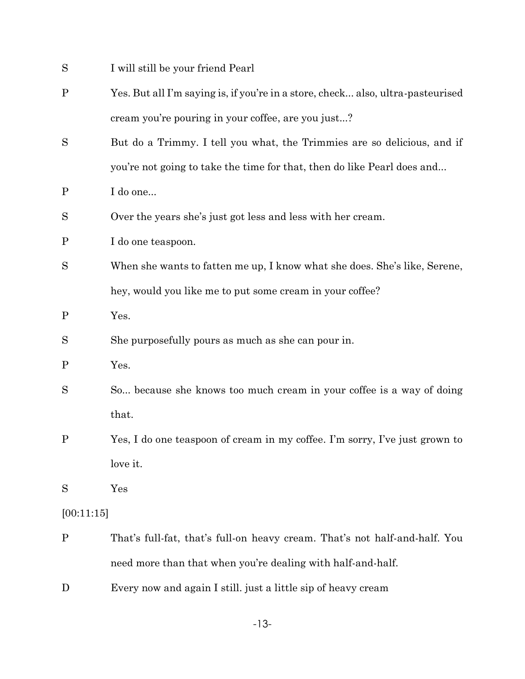| S            | I will still be your friend Pearl                                               |
|--------------|---------------------------------------------------------------------------------|
| $\mathbf P$  | Yes. But all I'm saying is, if you're in a store, check also, ultra-pasteurised |
|              | cream you're pouring in your coffee, are you just?                              |
| S            | But do a Trimmy. I tell you what, the Trimmies are so delicious, and if         |
|              | you're not going to take the time for that, then do like Pearl does and         |
| $\mathbf P$  | I do one                                                                        |
| S            | Over the years she's just got less and less with her cream.                     |
| $\mathbf P$  | I do one teaspoon.                                                              |
| S            | When she wants to fatten me up, I know what she does. She's like, Serene,       |
|              | hey, would you like me to put some cream in your coffee?                        |
| $\mathbf{P}$ | Yes.                                                                            |
| S            | She purposefully pours as much as she can pour in.                              |
| $\mathbf P$  | Yes.                                                                            |
| S            | So because she knows too much cream in your coffee is a way of doing            |
|              | that.                                                                           |
| $\mathbf P$  | Yes, I do one teaspoon of cream in my coffee. I'm sorry, I've just grown to     |
|              | love it.                                                                        |
| S            | Yes                                                                             |
| [00:11:15]   |                                                                                 |
| $\mathbf P$  | That's full-fat, that's full-on heavy cream. That's not half-and-half. You      |
|              | need more than that when you're dealing with half-and-half.                     |
| D            | Every now and again I still. just a little sip of heavy cream                   |

-13-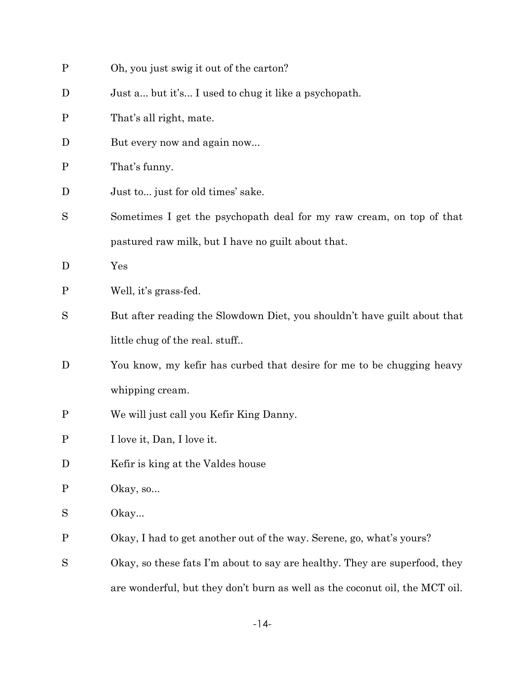| $\mathbf P$ | Oh, you just swig it out of the carton?                                     |
|-------------|-----------------------------------------------------------------------------|
| D           | Just a but it's I used to chug it like a psychopath.                        |
| $\mathbf P$ | That's all right, mate.                                                     |
| D           | But every now and again now                                                 |
| $\mathbf P$ | That's funny.                                                               |
| D           | Just to just for old times' sake.                                           |
| S           | Sometimes I get the psychopath deal for my raw cream, on top of that        |
|             | pastured raw milk, but I have no guilt about that.                          |
| D           | Yes                                                                         |
| $\mathbf P$ | Well, it's grass-fed.                                                       |
| S           | But after reading the Slowdown Diet, you shouldn't have guilt about that    |
|             | little chug of the real. stuff                                              |
| D           | You know, my kefir has curbed that desire for me to be chugging heavy       |
|             | whipping cream.                                                             |
| $\mathbf P$ | We will just call you Kefir King Danny.                                     |
| $\mathbf P$ | I love it, Dan, I love it.                                                  |
| D           | Kefir is king at the Valdes house                                           |
| $\mathbf P$ | Okay, so                                                                    |
| S           | Okay                                                                        |
| $\mathbf P$ | Okay, I had to get another out of the way. Serene, go, what's yours?        |
| S           | Okay, so these fats I'm about to say are healthy. They are superfood, they  |
|             | are wonderful, but they don't burn as well as the coconut oil, the MCT oil. |

-14-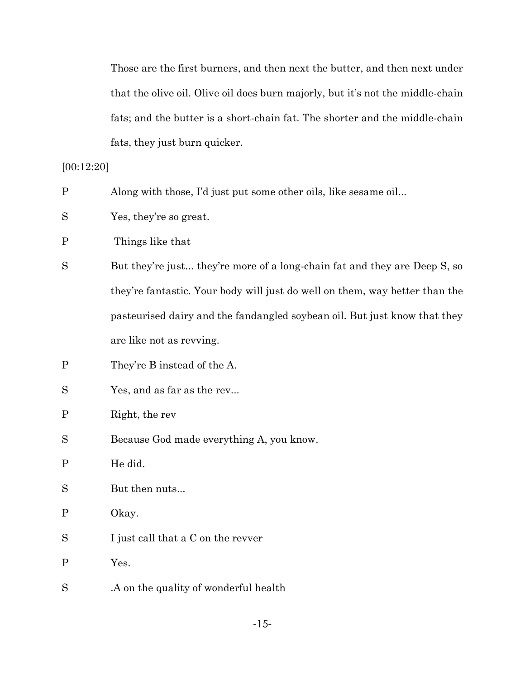Those are the first burners, and then next the butter, and then next under that the olive oil. Olive oil does burn majorly, but it's not the middle-chain fats; and the butter is a short-chain fat. The shorter and the middle-chain fats, they just burn quicker.

### [00:12:20]

| $\mathbf{P}$ | Along with those, I'd just put some other oils, like sesame oil             |
|--------------|-----------------------------------------------------------------------------|
| S            | Yes, they're so great.                                                      |
| $\mathbf P$  | Things like that                                                            |
| S            | But they're just they're more of a long-chain fat and they are Deep S, so   |
|              | they're fantastic. Your body will just do well on them, way better than the |
|              | pasteurised dairy and the fandangled soybean oil. But just know that they   |
|              | are like not as revying.                                                    |
| $\mathbf P$  | They're B instead of the A.                                                 |
| S            | Yes, and as far as the rev                                                  |
| $\mathbf P$  | Right, the rev                                                              |
| S            | Because God made everything A, you know.                                    |
| $\mathbf P$  | He did.                                                                     |
| $\mathbf S$  | But then nuts                                                               |
| $\mathbf{P}$ | Okay.                                                                       |
| $\mathbf S$  | I just call that a C on the rever                                           |
| $\mathbf P$  | Yes.                                                                        |
| S            | .A on the quality of wonderful health                                       |
|              |                                                                             |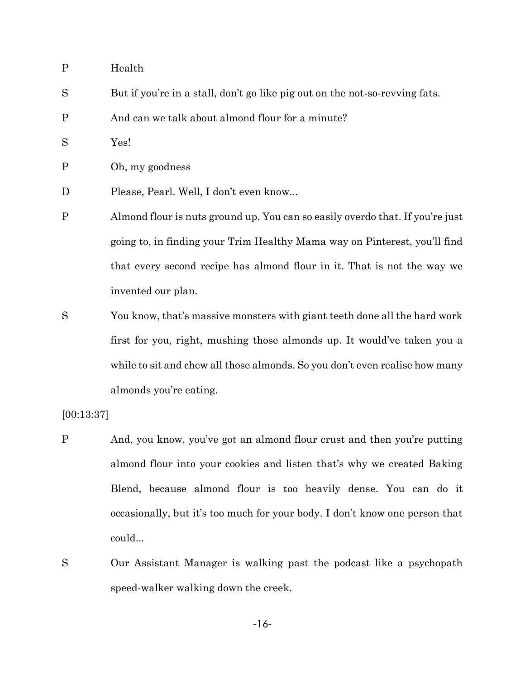- P Health
- S But if you're in a stall, don't go like pig out on the not-so-revving fats.
- P And can we talk about almond flour for a minute?
- S Yes!

P Oh, my goodness

- D Please, Pearl. Well, I don't even know...
- P Almond flour is nuts ground up. You can so easily overdo that. If you're just going to, in finding your Trim Healthy Mama way on Pinterest, you'll find that every second recipe has almond flour in it. That is not the way we invented our plan.
- S You know, that's massive monsters with giant teeth done all the hard work first for you, right, mushing those almonds up. It would've taken you a while to sit and chew all those almonds. So you don't even realise how many almonds you're eating.

[00:13:37]

- P And, you know, you've got an almond flour crust and then you're putting almond flour into your cookies and listen that's why we created Baking Blend, because almond flour is too heavily dense. You can do it occasionally, but it's too much for your body. I don't know one person that could...
- S Our Assistant Manager is walking past the podcast like a psychopath speed-walker walking down the creek.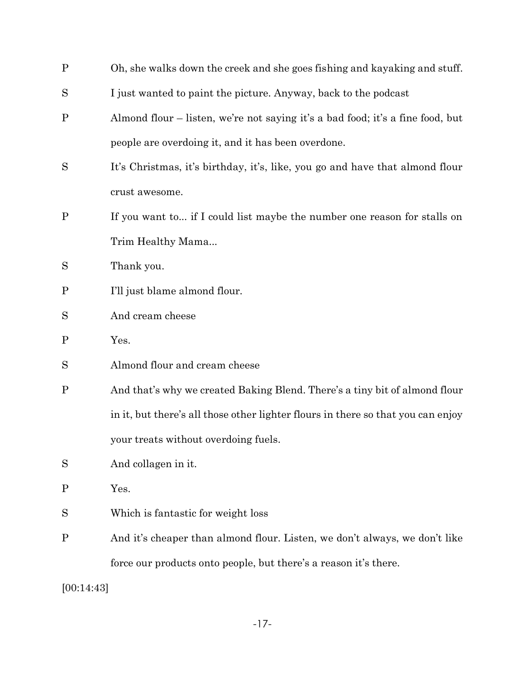| $\mathbf P$  | Oh, she walks down the creek and she goes fishing and kayaking and stuff.        |
|--------------|----------------------------------------------------------------------------------|
| S            | I just wanted to paint the picture. Anyway, back to the podcast                  |
| $\mathbf P$  | Almond flour – listen, we're not saying it's a bad food; it's a fine food, but   |
|              | people are overdoing it, and it has been overdone.                               |
| S            | It's Christmas, it's birthday, it's, like, you go and have that almond flour     |
|              | crust awesome.                                                                   |
| $\mathbf P$  | If you want to if I could list maybe the number one reason for stalls on         |
|              | Trim Healthy Mama                                                                |
| S            | Thank you.                                                                       |
| P            | I'll just blame almond flour.                                                    |
| S            | And cream cheese                                                                 |
| $\mathbf P$  | Yes.                                                                             |
| S            | Almond flour and cream cheese                                                    |
| $\mathbf P$  | And that's why we created Baking Blend. There's a tiny bit of almond flour       |
|              | in it, but there's all those other lighter flours in there so that you can enjoy |
|              | your treats without overdoing fuels.                                             |
| S            | And collagen in it.                                                              |
| $\mathbf{P}$ | Yes.                                                                             |
| S            | Which is fantastic for weight loss                                               |
| $\mathbf P$  | And it's cheaper than almond flour. Listen, we don't always, we don't like       |
|              | force our products onto people, but there's a reason it's there.                 |
| [00:14:43]   |                                                                                  |

-17-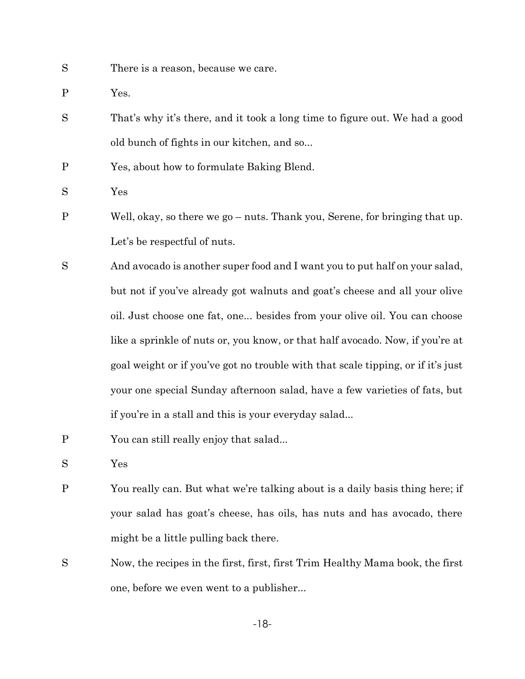- S There is a reason, because we care.
- P Yes.
- S That's why it's there, and it took a long time to figure out. We had a good old bunch of fights in our kitchen, and so...
- P Yes, about how to formulate Baking Blend.
- S Yes
- P Well, okay, so there we go nuts. Thank you, Serene, for bringing that up. Let's be respectful of nuts.
- S And avocado is another super food and I want you to put half on your salad, but not if you've already got walnuts and goat's cheese and all your olive oil. Just choose one fat, one... besides from your olive oil. You can choose like a sprinkle of nuts or, you know, or that half avocado. Now, if you're at goal weight or if you've got no trouble with that scale tipping, or if it's just your one special Sunday afternoon salad, have a few varieties of fats, but if you're in a stall and this is your everyday salad...
- P You can still really enjoy that salad...
- S Yes
- P You really can. But what we're talking about is a daily basis thing here; if your salad has goat's cheese, has oils, has nuts and has avocado, there might be a little pulling back there.
- S Now, the recipes in the first, first, first Trim Healthy Mama book, the first one, before we even went to a publisher...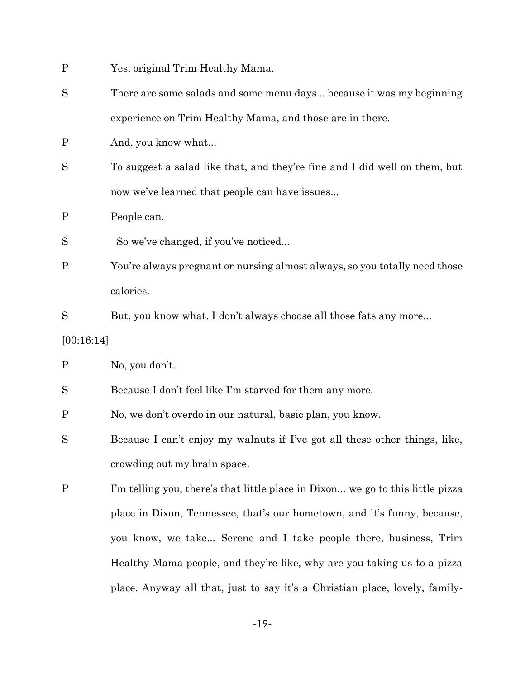| $\mathbf P$ |  |  |  | Yes, original Trim Healthy Mama. |  |
|-------------|--|--|--|----------------------------------|--|
|-------------|--|--|--|----------------------------------|--|

- S There are some salads and some menu days... because it was my beginning experience on Trim Healthy Mama, and those are in there.
- P And, you know what...
- S To suggest a salad like that, and they're fine and I did well on them, but now we've learned that people can have issues...
- P People can.
- So we've changed, if you've noticed...
- P You're always pregnant or nursing almost always, so you totally need those calories.
- S But, you know what, I don't always choose all those fats any more...

[00:16:14]

P No, you don't.

- S Because I don't feel like I'm starved for them any more.
- P No, we don't overdo in our natural, basic plan, you know.
- S Because I can't enjoy my walnuts if I've got all these other things, like, crowding out my brain space.
- P I'm telling you, there's that little place in Dixon... we go to this little pizza place in Dixon, Tennessee, that's our hometown, and it's funny, because, you know, we take... Serene and I take people there, business, Trim Healthy Mama people, and they're like, why are you taking us to a pizza place. Anyway all that, just to say it's a Christian place, lovely, family-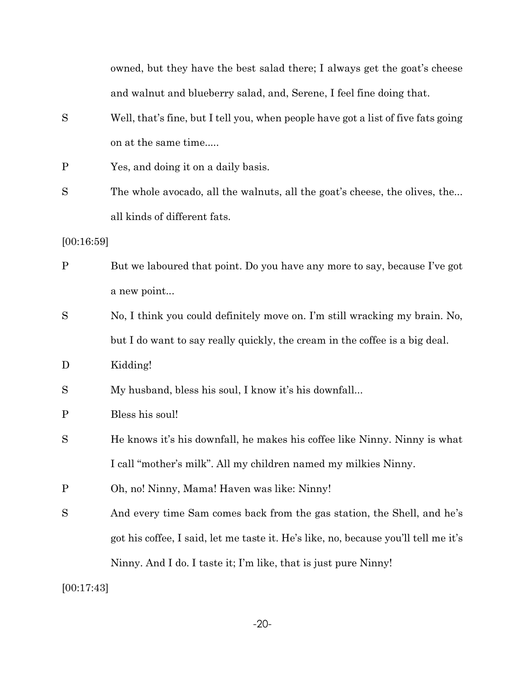owned, but they have the best salad there; I always get the goat's cheese and walnut and blueberry salad, and, Serene, I feel fine doing that.

- S Well, that's fine, but I tell you, when people have got a list of five fats going on at the same time.....
- P Yes, and doing it on a daily basis.
- S The whole avocado, all the walnuts, all the goat's cheese, the olives, the... all kinds of different fats.
- [00:16:59]
- P But we laboured that point. Do you have any more to say, because I've got a new point...
- S No, I think you could definitely move on. I'm still wracking my brain. No, but I do want to say really quickly, the cream in the coffee is a big deal.
- D Kidding!
- S My husband, bless his soul, I know it's his downfall...
- P Bless his soul!
- S He knows it's his downfall, he makes his coffee like Ninny. Ninny is what I call "mother's milk". All my children named my milkies Ninny.
- P Oh, no! Ninny, Mama! Haven was like: Ninny!
- S And every time Sam comes back from the gas station, the Shell, and he's got his coffee, I said, let me taste it. He's like, no, because you'll tell me it's Ninny. And I do. I taste it; I'm like, that is just pure Ninny!

[00:17:43]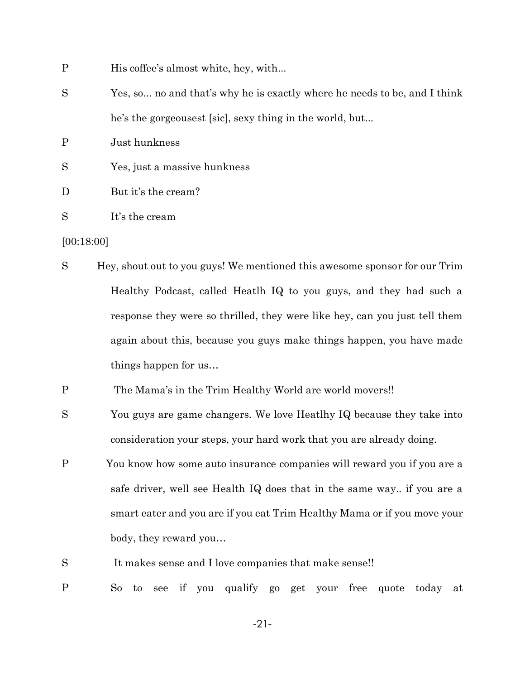- P His coffee's almost white, hey, with...
- S Yes, so... no and that's why he is exactly where he needs to be, and I think he's the gorgeousest [sic], sexy thing in the world, but...
- P Just hunkness
- S Yes, just a massive hunkness
- D But it's the cream?
- S It's the cream

#### [00:18:00]

- S Hey, shout out to you guys! We mentioned this awesome sponsor for our Trim Healthy Podcast, called Heatlh IQ to you guys, and they had such a response they were so thrilled, they were like hey, can you just tell them again about this, because you guys make things happen, you have made things happen for us…
- P The Mama's in the Trim Healthy World are world movers!!
- S You guys are game changers. We love Heatlhy IQ because they take into consideration your steps, your hard work that you are already doing.
- P You know how some auto insurance companies will reward you if you are a safe driver, well see Health IQ does that in the same way.. if you are a smart eater and you are if you eat Trim Healthy Mama or if you move your body, they reward you…
- S It makes sense and I love companies that make sense!!
- P So to see if you qualify go get your free quote today at

-21-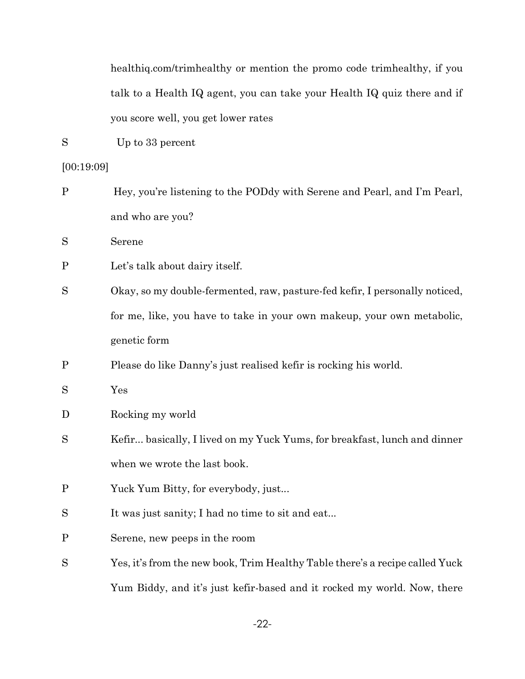healthiq.com/trimhealthy or mention the promo code trimhealthy, if you talk to a Health IQ agent, you can take your Health IQ quiz there and if you score well, you get lower rates

S Up to 33 percent

### [00:19:09]

| $\mathbf{P}$ | Hey, you're listening to the PODdy with Serene and Pearl, and I'm Pearl,     |
|--------------|------------------------------------------------------------------------------|
|              | and who are you?                                                             |
| S            | Serene                                                                       |
| $\mathbf P$  | Let's talk about dairy itself.                                               |
| S            | Okay, so my double-fermented, raw, pasture-fed kefir, I personally noticed,  |
|              | for me, like, you have to take in your own makeup, your own metabolic,       |
|              | genetic form                                                                 |
| $\mathbf P$  | Please do like Danny's just realised kefir is rocking his world.             |
| S            | Yes                                                                          |
| D            | Rocking my world                                                             |
| S            | Kefir basically, I lived on my Yuck Yums, for breakfast, lunch and dinner    |
|              | when we wrote the last book.                                                 |
| $\mathbf P$  | Yuck Yum Bitty, for everybody, just                                          |
| S            | It was just sanity; I had no time to sit and eat                             |
| $\mathbf P$  | Serene, new peeps in the room                                                |
| S            | Yes, it's from the new book, Trim Healthy Table there's a recipe called Yuck |
|              | Yum Biddy, and it's just kefir-based and it rocked my world. Now, there      |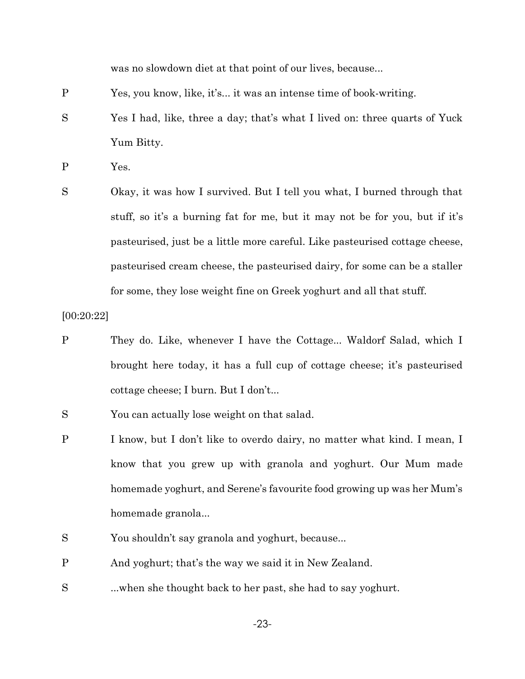was no slowdown diet at that point of our lives, because...

- P Yes, you know, like, it's... it was an intense time of book-writing.
- S Yes I had, like, three a day; that's what I lived on: three quarts of Yuck Yum Bitty.
- P Yes.
- S Okay, it was how I survived. But I tell you what, I burned through that stuff, so it's a burning fat for me, but it may not be for you, but if it's pasteurised, just be a little more careful. Like pasteurised cottage cheese, pasteurised cream cheese, the pasteurised dairy, for some can be a staller for some, they lose weight fine on Greek yoghurt and all that stuff.

[00:20:22]

- P They do. Like, whenever I have the Cottage... Waldorf Salad, which I brought here today, it has a full cup of cottage cheese; it's pasteurised cottage cheese; I burn. But I don't...
- S You can actually lose weight on that salad.
- P I know, but I don't like to overdo dairy, no matter what kind. I mean, I know that you grew up with granola and yoghurt. Our Mum made homemade yoghurt, and Serene's favourite food growing up was her Mum's homemade granola...
- S You shouldn't say granola and yoghurt, because...
- P And yoghurt; that's the way we said it in New Zealand.
- S ...when she thought back to her past, she had to say yoghurt.

-23-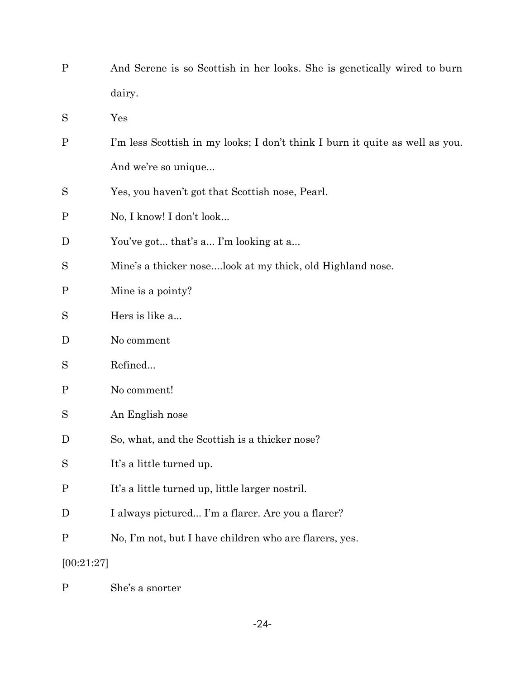| $\mathbf{P}$ | And Serene is so Scottish in her looks. She is genetically wired to burn     |
|--------------|------------------------------------------------------------------------------|
|              | dairy.                                                                       |
| S            | Yes                                                                          |
| $\mathbf P$  | I'm less Scottish in my looks; I don't think I burn it quite as well as you. |
|              | And we're so unique                                                          |
| S            | Yes, you haven't got that Scottish nose, Pearl.                              |
| $\mathbf P$  | No, I know! I don't look                                                     |
| D            | You've got that's a I'm looking at a                                         |
| S            | Mine's a thicker noselook at my thick, old Highland nose.                    |
| $\mathbf P$  | Mine is a pointy?                                                            |
| S            | Hers is like a                                                               |
| D            | No comment                                                                   |
| S            | Refined                                                                      |
| $\mathbf P$  | No comment!                                                                  |
| S            | An English nose                                                              |
| D            | So, what, and the Scottish is a thicker nose?                                |
| S            | It's a little turned up.                                                     |
| $\rm P$      | It's a little turned up, little larger nostril.                              |
| $\mathbf D$  | I always pictured I'm a flarer. Are you a flarer?                            |
| $\mathbf P$  | No, I'm not, but I have children who are flarers, yes.                       |
| [00:21:27]   |                                                                              |

P She's a snorter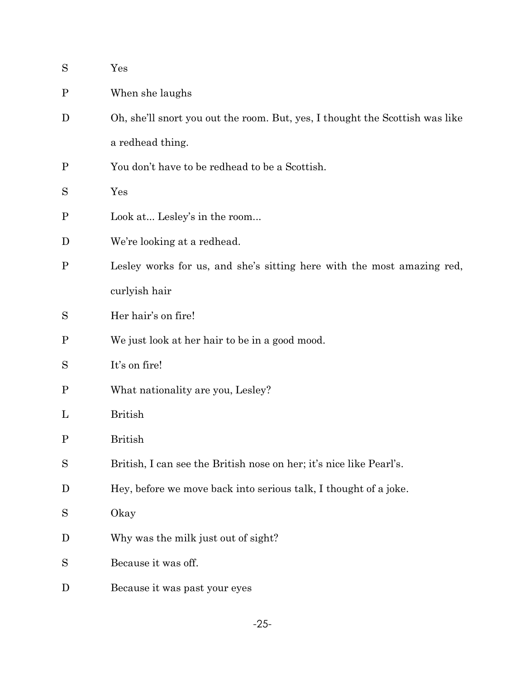| S            | $\gamma_{\rm es}$                                                            |
|--------------|------------------------------------------------------------------------------|
| $\mathbf{P}$ | When she laughs                                                              |
| D            | Oh, she'll snort you out the room. But, yes, I thought the Scottish was like |
|              | a redhead thing.                                                             |
| $\mathbf P$  | You don't have to be redhead to be a Scottish.                               |
| S            | Yes                                                                          |
| $\mathbf{P}$ | Look at Lesley's in the room                                                 |
| D            | We're looking at a redhead.                                                  |
| $\mathbf P$  | Lesley works for us, and she's sitting here with the most amazing red,       |
|              | curlyish hair                                                                |
| S            | Her hair's on fire!                                                          |
| $\mathbf{P}$ | We just look at her hair to be in a good mood.                               |
| S            | It's on fire!                                                                |
| $\mathbf P$  | What nationality are you, Lesley?                                            |
| L            | <b>British</b>                                                               |
| $\mathbf{P}$ | <b>British</b>                                                               |
| S            | British, I can see the British nose on her; it's nice like Pearl's.          |
| D            | Hey, before we move back into serious talk, I thought of a joke.             |
| S            | Okay                                                                         |
| D            | Why was the milk just out of sight?                                          |
| S            | Because it was off.                                                          |
| D            | Because it was past your eyes                                                |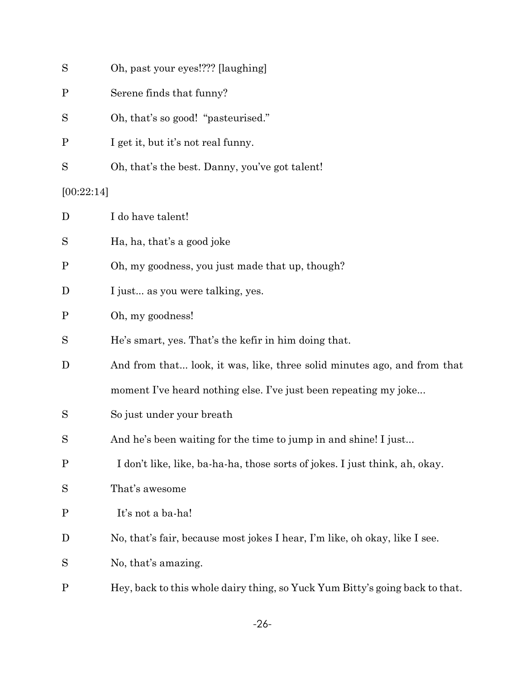| S            | Oh, past your eyes!??? [laughing]                                            |
|--------------|------------------------------------------------------------------------------|
| $\mathbf P$  | Serene finds that funny?                                                     |
| S            | Oh, that's so good! "pasteurised."                                           |
| $\mathbf{P}$ | I get it, but it's not real funny.                                           |
| S            | Oh, that's the best. Danny, you've got talent!                               |
| [00:22:14]   |                                                                              |
| D            | I do have talent!                                                            |
| S            | Ha, ha, that's a good joke                                                   |
| $\mathbf P$  | Oh, my goodness, you just made that up, though?                              |
| D            | I just as you were talking, yes.                                             |
| $\mathbf P$  | Oh, my goodness!                                                             |
| S            | He's smart, yes. That's the kefir in him doing that.                         |
| D            | And from that look, it was, like, three solid minutes ago, and from that     |
|              | moment I've heard nothing else. I've just been repeating my joke             |
| S            | So just under your breath                                                    |
| S            | And he's been waiting for the time to jump in and shine! I just              |
| $\mathbf{P}$ | I don't like, like, ba-ha-ha, those sorts of jokes. I just think, ah, okay.  |
| S            | That's awesome                                                               |
| $\mathbf{P}$ | It's not a ba-ha!                                                            |
| D            | No, that's fair, because most jokes I hear, I'm like, oh okay, like I see.   |
| S            | No, that's amazing.                                                          |
| $\mathbf P$  | Hey, back to this whole dairy thing, so Yuck Yum Bitty's going back to that. |

-26-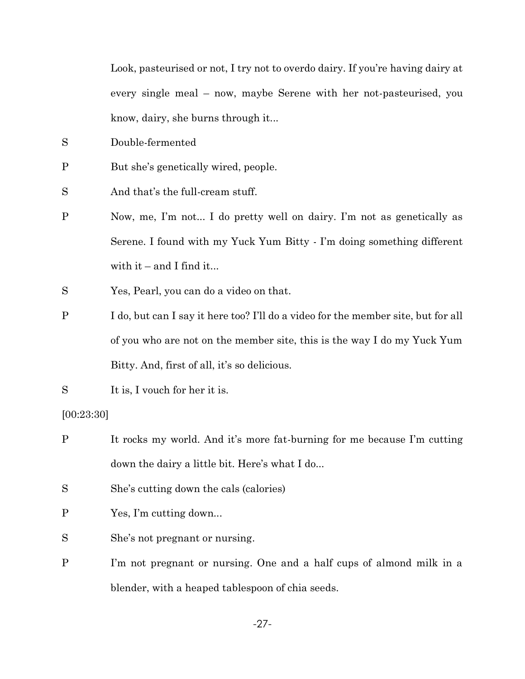Look, pasteurised or not, I try not to overdo dairy. If you're having dairy at every single meal – now, maybe Serene with her not-pasteurised, you know, dairy, she burns through it...

- S Double-fermented
- P But she's genetically wired, people.

S And that's the full-cream stuff.

- P Now, me, I'm not... I do pretty well on dairy. I'm not as genetically as Serene. I found with my Yuck Yum Bitty - I'm doing something different with it – and I find it...
- S Yes, Pearl, you can do a video on that.
- P I do, but can I say it here too? I'll do a video for the member site, but for all of you who are not on the member site, this is the way I do my Yuck Yum Bitty. And, first of all, it's so delicious.
- S It is, I vouch for her it is.

[00:23:30]

- P It rocks my world. And it's more fat-burning for me because I'm cutting down the dairy a little bit. Here's what I do...
- S She's cutting down the cals (calories)
- P Yes, I'm cutting down...
- S She's not pregnant or nursing.
- P I'm not pregnant or nursing. One and a half cups of almond milk in a blender, with a heaped tablespoon of chia seeds.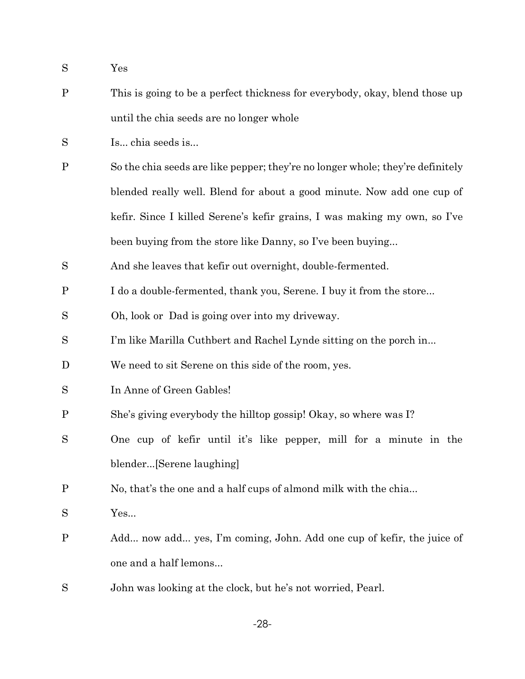- S Yes
- P This is going to be a perfect thickness for everybody, okay, blend those up until the chia seeds are no longer whole
- S Is... chia seeds is...
- P So the chia seeds are like pepper; they're no longer whole; they're definitely blended really well. Blend for about a good minute. Now add one cup of kefir. Since I killed Serene's kefir grains, I was making my own, so I've been buying from the store like Danny, so I've been buying...
- S And she leaves that kefir out overnight, double-fermented.
- P I do a double-fermented, thank you, Serene. I buy it from the store...
- S Oh, look or Dad is going over into my driveway.
- S I'm like Marilla Cuthbert and Rachel Lynde sitting on the porch in...
- D We need to sit Serene on this side of the room, yes.
- S In Anne of Green Gables!
- P She's giving everybody the hilltop gossip! Okay, so where was I?
- S One cup of kefir until it's like pepper, mill for a minute in the blender...[Serene laughing]
- P No, that's the one and a half cups of almond milk with the chia...
- S Yes...
- P Add... now add... yes, I'm coming, John. Add one cup of kefir, the juice of one and a half lemons...
- S John was looking at the clock, but he's not worried, Pearl.

-28-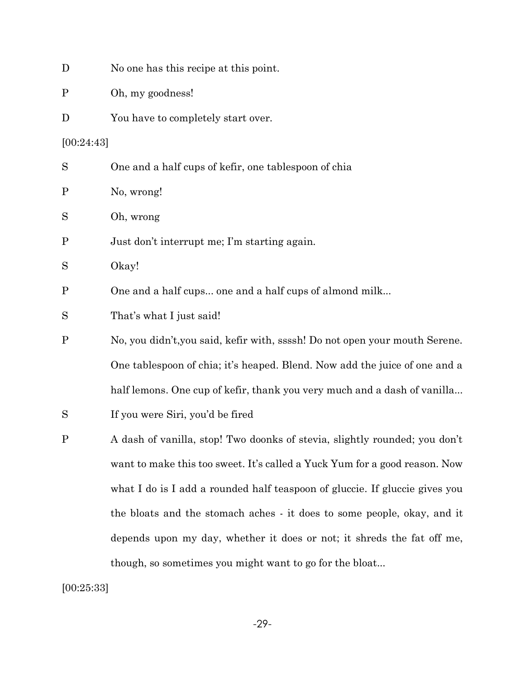| D          | No one has this recipe at this point.                                       |
|------------|-----------------------------------------------------------------------------|
| Ρ          | Oh, my goodness!                                                            |
| D          | You have to completely start over.                                          |
| [00:24:43] |                                                                             |
| $\rm S$    | One and a half cups of kefir, one tablespoon of chia                        |
| Ρ          | No, wrong!                                                                  |
| S          | Oh, wrong                                                                   |
| Ρ          | Just don't interrupt me; I'm starting again.                                |
| $\rm S$    | Okay!                                                                       |
| Ρ          | One and a half cups one and a half cups of almond milk                      |
| S          | That's what I just said!                                                    |
| Ρ          | No, you didn't, you said, kefir with, ssssh! Do not open your mouth Serene. |
|            | One tablespoon of chia; it's heaped. Blend. Now add the juice of one and a  |
|            | half lemons. One cup of kefir, thank you very much and a dash of vanilla    |
| S          | If you were Siri, you'd be fired                                            |
| $\rm P$    | A dash of vanilla, stop! Two doonks of stevia, slightly rounded; you don't  |
|            | want to make this too sweet. It's called a Yuck Yum for a good reason. Now  |
|            | what I do is I add a rounded half teaspoon of gluccie. If gluccie gives you |
|            | the bloats and the stomach aches - it does to some people, okay, and it     |
|            | depends upon my day, whether it does or not; it shreds the fat off me,      |
|            | though, so sometimes you might want to go for the bloat                     |

[00:25:33]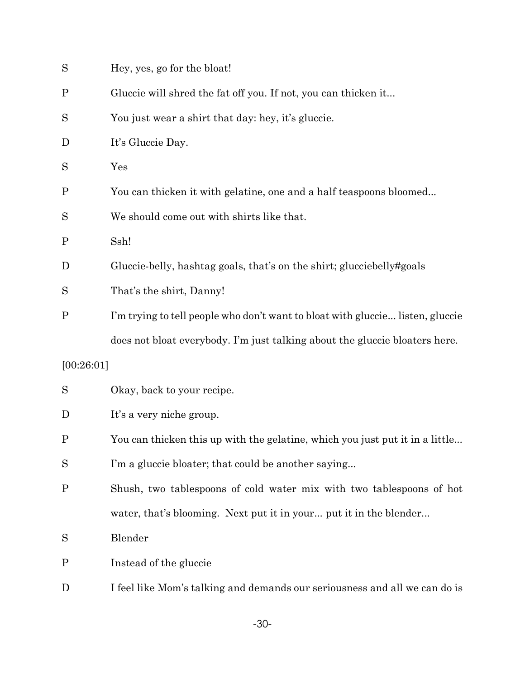| S            | Hey, yes, go for the bloat!                                                    |
|--------------|--------------------------------------------------------------------------------|
| $\mathbf{P}$ | Gluccie will shred the fat off you. If not, you can thicken it                 |
| S            | You just wear a shirt that day: hey, it's gluccie.                             |
| D            | It's Gluccie Day.                                                              |
| S            | Yes                                                                            |
| $\mathbf P$  | You can thicken it with gelatine, one and a half teaspoons bloomed             |
| S            | We should come out with shirts like that.                                      |
| $\mathbf P$  | Ssh!                                                                           |
| D            | Gluccie-belly, hashtag goals, that's on the shirt; glucciebelly#goals          |
| S            | That's the shirt, Danny!                                                       |
| $\mathbf P$  | I'm trying to tell people who don't want to bloat with gluccie listen, gluccie |
|              | does not bloat everybody. I'm just talking about the gluccie bloaters here.    |
| [00:26:01]   |                                                                                |
| S            | Okay, back to your recipe.                                                     |
| D            | It's a very niche group.                                                       |
| $\mathbf P$  | You can thicken this up with the gelatine, which you just put it in a little   |
| S            | I'm a gluccie bloater; that could be another saying                            |
| $\mathbf P$  | Shush, two tablespoons of cold water mix with two tablespoons of hot           |
|              | water, that's blooming. Next put it in your put it in the blender              |
| S            | Blender                                                                        |
| $\mathbf P$  | Instead of the gluccie                                                         |
| D            | I feel like Mom's talking and demands our seriousness and all we can do is     |

-30-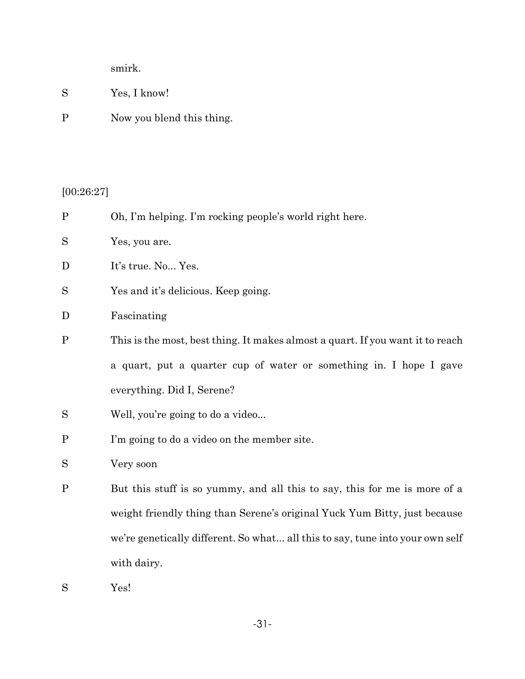smirk.

| $\rm S$ | Yes, I know! |
|---------|--------------|
|         |              |

P Now you blend this thing.

# $[00:26:27]$

| $\overline{P}$ | Oh, I'm helping. I'm rocking people's world right here.                        |
|----------------|--------------------------------------------------------------------------------|
| S              | Yes, you are.                                                                  |
| D              | It's true. No Yes.                                                             |
| S              | Yes and it's delicious. Keep going.                                            |
| D              | Fascinating                                                                    |
| $\mathbf{P}$   | This is the most, best thing. It makes almost a quart. If you want it to reach |
|                | a quart, put a quarter cup of water or something in. I hope I gave             |
|                | everything. Did I, Serene?                                                     |
| S              | Well, you're going to do a video                                               |
| $\mathbf P$    | I'm going to do a video on the member site.                                    |
| S              | Very soon                                                                      |
| $\mathbf{P}$   | But this stuff is so yummy, and all this to say, this for me is more of a      |
|                | weight friendly thing than Serene's original Yuck Yum Bitty, just because      |
|                | we're genetically different. So what all this to say, tune into your own self  |
|                | with dairy.                                                                    |

S Yes!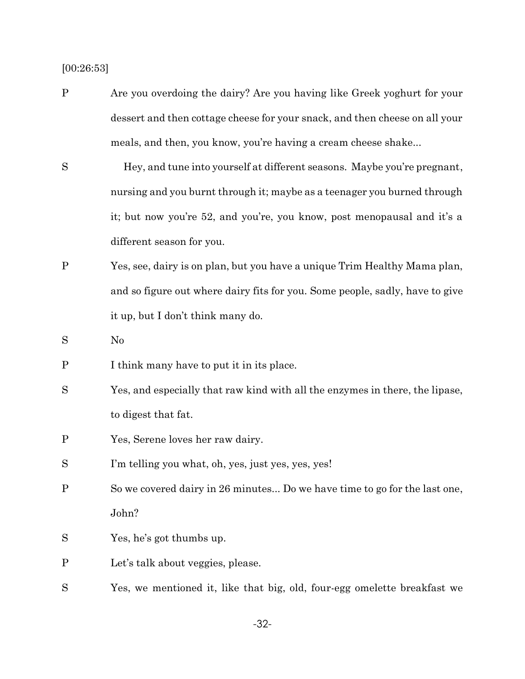[00:26:53]

- P Are you overdoing the dairy? Are you having like Greek yoghurt for your dessert and then cottage cheese for your snack, and then cheese on all your meals, and then, you know, you're having a cream cheese shake...
- S Hey, and tune into yourself at different seasons. Maybe you're pregnant, nursing and you burnt through it; maybe as a teenager you burned through it; but now you're 52, and you're, you know, post menopausal and it's a different season for you.
- P Yes, see, dairy is on plan, but you have a unique Trim Healthy Mama plan, and so figure out where dairy fits for you. Some people, sadly, have to give it up, but I don't think many do.

S No

- P I think many have to put it in its place.
- S Yes, and especially that raw kind with all the enzymes in there, the lipase, to digest that fat.
- P Yes, Serene loves her raw dairy.
- S I'm telling you what, oh, yes, just yes, yes, yes!
- P So we covered dairy in 26 minutes... Do we have time to go for the last one, John?
- S Yes, he's got thumbs up.
- P Let's talk about veggies, please.
- S Yes, we mentioned it, like that big, old, four-egg omelette breakfast we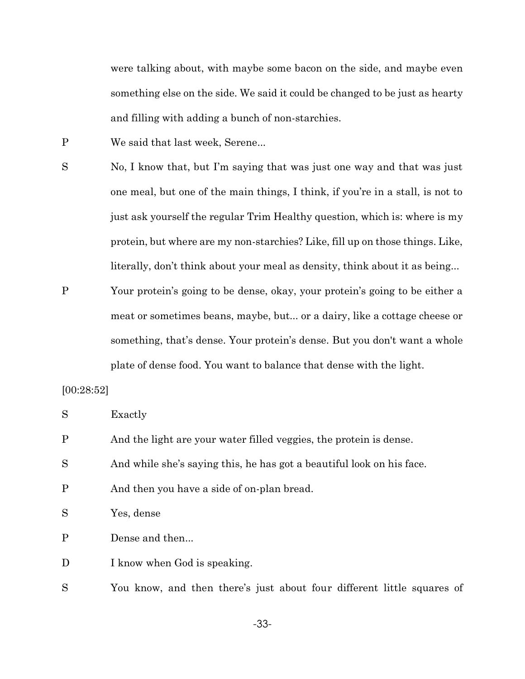were talking about, with maybe some bacon on the side, and maybe even something else on the side. We said it could be changed to be just as hearty and filling with adding a bunch of non-starchies.

P We said that last week, Serene...

S No, I know that, but I'm saying that was just one way and that was just one meal, but one of the main things, I think, if you're in a stall, is not to just ask yourself the regular Trim Healthy question, which is: where is my protein, but where are my non-starchies? Like, fill up on those things. Like, literally, don't think about your meal as density, think about it as being...

P Your protein's going to be dense, okay, your protein's going to be either a meat or sometimes beans, maybe, but... or a dairy, like a cottage cheese or something, that's dense. Your protein's dense. But you don't want a whole plate of dense food. You want to balance that dense with the light.

#### [00:28:52]

| S            | Exactly                                                                |
|--------------|------------------------------------------------------------------------|
| $\mathbf{P}$ | And the light are your water filled veggies, the protein is dense.     |
| S            | And while she's saying this, he has got a beautiful look on his face.  |
| $\mathbf{P}$ | And then you have a side of on-plan bread.                             |
| S            | Yes, dense                                                             |
| $\mathbf{P}$ | Dense and then                                                         |
| D            | I know when God is speaking.                                           |
| S            | You know, and then there's just about four different little squares of |

-33-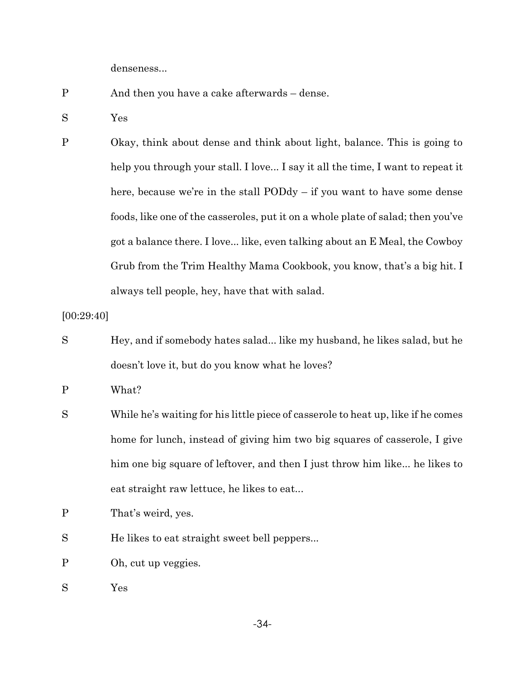denseness...

- P And then you have a cake afterwards dense.
- S Yes

P Okay, think about dense and think about light, balance. This is going to help you through your stall. I love... I say it all the time, I want to repeat it here, because we're in the stall PODdy – if you want to have some dense foods, like one of the casseroles, put it on a whole plate of salad; then you've got a balance there. I love... like, even talking about an E Meal, the Cowboy Grub from the Trim Healthy Mama Cookbook, you know, that's a big hit. I always tell people, hey, have that with salad.

[00:29:40]

S Hey, and if somebody hates salad... like my husband, he likes salad, but he doesn't love it, but do you know what he loves?

P What?

- S While he's waiting for his little piece of casserole to heat up, like if he comes home for lunch, instead of giving him two big squares of casserole, I give him one big square of leftover, and then I just throw him like... he likes to eat straight raw lettuce, he likes to eat...
- P That's weird, yes.
- S He likes to eat straight sweet bell peppers...
- P Oh, cut up veggies.
- S Yes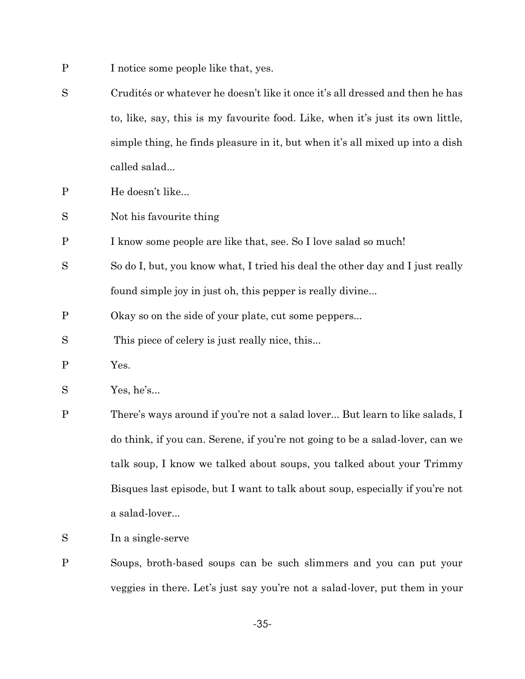- P I notice some people like that, yes.
- S Crudités or whatever he doesn't like it once it's all dressed and then he has to, like, say, this is my favourite food. Like, when it's just its own little, simple thing, he finds pleasure in it, but when it's all mixed up into a dish called salad...
- P He doesn't like...
- S Not his favourite thing
- P I know some people are like that, see. So I love salad so much!
- S So do I, but, you know what, I tried his deal the other day and I just really found simple joy in just oh, this pepper is really divine...
- P Okay so on the side of your plate, cut some peppers...
- S This piece of celery is just really nice, this...
- P Yes.
- S Yes, he's...
- P There's ways around if you're not a salad lover... But learn to like salads, I do think, if you can. Serene, if you're not going to be a salad-lover, can we talk soup, I know we talked about soups, you talked about your Trimmy Bisques last episode, but I want to talk about soup, especially if you're not a salad-lover...
- S In a single-serve
- P Soups, broth-based soups can be such slimmers and you can put your veggies in there. Let's just say you're not a salad-lover, put them in your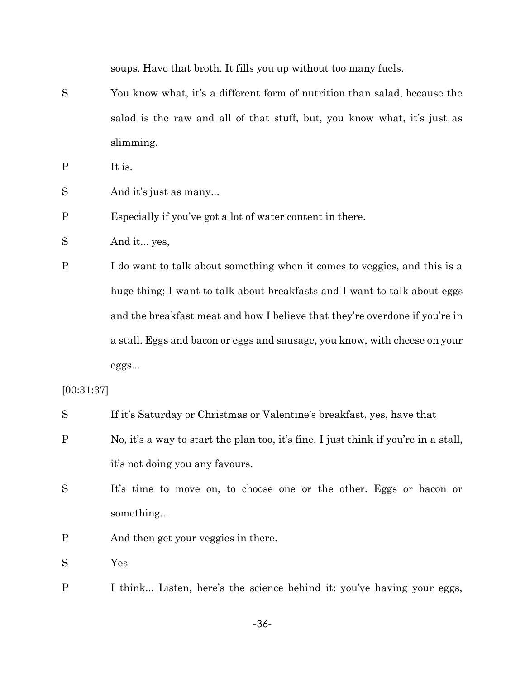soups. Have that broth. It fills you up without too many fuels.

S You know what, it's a different form of nutrition than salad, because the salad is the raw and all of that stuff, but, you know what, it's just as slimming.

P It is.

S And it's just as many...

P Especially if you've got a lot of water content in there.

S And it... yes,

P I do want to talk about something when it comes to veggies, and this is a huge thing; I want to talk about breakfasts and I want to talk about eggs and the breakfast meat and how I believe that they're overdone if you're in a stall. Eggs and bacon or eggs and sausage, you know, with cheese on your eggs...

[00:31:37]

| S | If it's Saturday or Christmas or Valentine's breakfast, yes, have that              |
|---|-------------------------------------------------------------------------------------|
| P | No, it's a way to start the plan too, it's fine. I just think if you're in a stall, |
|   | it's not doing you any favours.                                                     |
| S | It's time to move on, to choose one or the other. Eggs or bacon or                  |
|   | something                                                                           |
| Ρ | And then get your veggies in there.                                                 |

S Yes

P I think... Listen, here's the science behind it: you've having your eggs,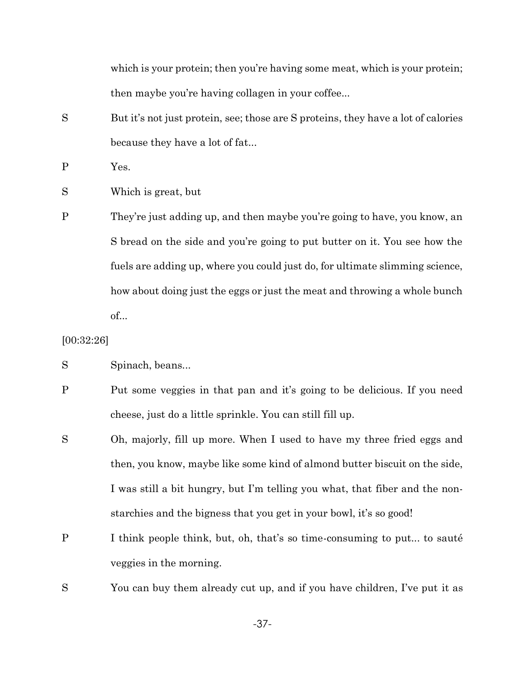which is your protein; then you're having some meat, which is your protein; then maybe you're having collagen in your coffee...

S But it's not just protein, see; those are S proteins, they have a lot of calories because they have a lot of fat...

P Yes.

- S Which is great, but
- P They're just adding up, and then maybe you're going to have, you know, an S bread on the side and you're going to put butter on it. You see how the fuels are adding up, where you could just do, for ultimate slimming science, how about doing just the eggs or just the meat and throwing a whole bunch of...

#### [00:32:26]

- S Spinach, beans...
- P Put some veggies in that pan and it's going to be delicious. If you need cheese, just do a little sprinkle. You can still fill up.
- S Oh, majorly, fill up more. When I used to have my three fried eggs and then, you know, maybe like some kind of almond butter biscuit on the side, I was still a bit hungry, but I'm telling you what, that fiber and the nonstarchies and the bigness that you get in your bowl, it's so good!
- P I think people think, but, oh, that's so time-consuming to put... to sauté veggies in the morning.

S You can buy them already cut up, and if you have children, I've put it as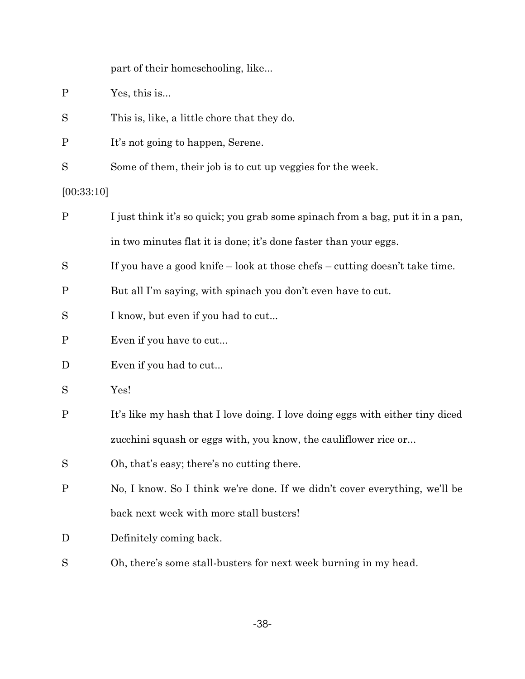| part of their homeschooling, like |  |  |  |
|-----------------------------------|--|--|--|
|-----------------------------------|--|--|--|

- P Yes, this is...
- S This is, like, a little chore that they do.
- P It's not going to happen, Serene.
- S Some of them, their job is to cut up veggies for the week.

### [00:33:10]

| $\mathbf{P}$ | I just think it's so quick; you grab some spinach from a bag, put it in a pan,  |  |
|--------------|---------------------------------------------------------------------------------|--|
|              | in two minutes flat it is done; it's done faster than your eggs.                |  |
| S            | If you have a good knife $-$ look at those chefs $-$ cutting doesn't take time. |  |
| $\mathbf P$  | But all I'm saying, with spinach you don't even have to cut.                    |  |
| S            | I know, but even if you had to cut                                              |  |
| $\mathbf P$  | Even if you have to cut                                                         |  |
| D            | Even if you had to cut                                                          |  |
| S            | Yes!                                                                            |  |
| $\mathbf P$  | It's like my hash that I love doing. I love doing eggs with either tiny diced   |  |
|              | zucchini squash or eggs with, you know, the cauliflower rice or                 |  |
| S            | Oh, that's easy; there's no cutting there.                                      |  |
| $\mathbf P$  | No, I know. So I think we're done. If we didn't cover everything, we'll be      |  |
|              | back next week with more stall busters!                                         |  |
| D            | Definitely coming back.                                                         |  |
| S            | Oh, there's some stall-busters for next week burning in my head.                |  |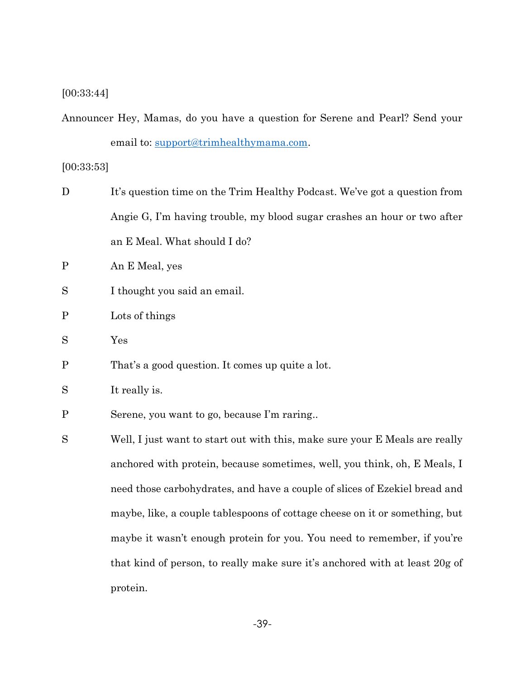## [00:33:44]

Announcer Hey, Mamas, do you have a question for Serene and Pearl? Send your email to: [support@trimhealthymama.com.](mailto:support@trimhealthymama.com)

## [00:33:53]

protein.

| D            | It's question time on the Trim Healthy Podcast. We've got a question from   |  |  |  |  |
|--------------|-----------------------------------------------------------------------------|--|--|--|--|
|              | Angie G, I'm having trouble, my blood sugar crashes an hour or two after    |  |  |  |  |
|              | an E Meal. What should I do?                                                |  |  |  |  |
| $\mathbf{P}$ | An E Meal, yes                                                              |  |  |  |  |
| S            | I thought you said an email.                                                |  |  |  |  |
| $\mathbf P$  | Lots of things                                                              |  |  |  |  |
| S            | Yes                                                                         |  |  |  |  |
| $\mathbf P$  | That's a good question. It comes up quite a lot.                            |  |  |  |  |
| S            | It really is.                                                               |  |  |  |  |
| $\mathbf P$  | Serene, you want to go, because I'm raring                                  |  |  |  |  |
| S            | Well, I just want to start out with this, make sure your E Meals are really |  |  |  |  |
|              | anchored with protein, because sometimes, well, you think, oh, E Meals, I   |  |  |  |  |
|              | need those carbohydrates, and have a couple of slices of Ezekiel bread and  |  |  |  |  |
|              | maybe, like, a couple tablespoons of cottage cheese on it or something, but |  |  |  |  |
|              | maybe it wasn't enough protein for you. You need to remember, if you're     |  |  |  |  |
|              | that kind of person, to really make sure it's anchored with at least 20g of |  |  |  |  |
|              |                                                                             |  |  |  |  |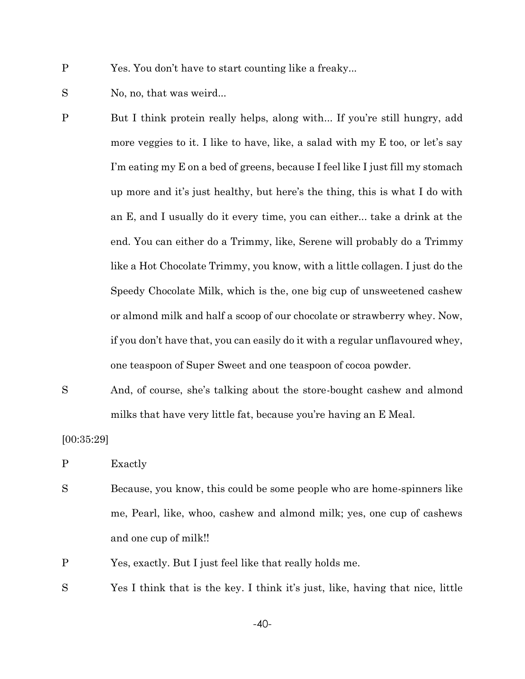- S No, no, that was weird...
- P But I think protein really helps, along with... If you're still hungry, add more veggies to it. I like to have, like, a salad with my E too, or let's say I'm eating my E on a bed of greens, because I feel like I just fill my stomach up more and it's just healthy, but here's the thing, this is what I do with an E, and I usually do it every time, you can either... take a drink at the end. You can either do a Trimmy, like, Serene will probably do a Trimmy like a Hot Chocolate Trimmy, you know, with a little collagen. I just do the Speedy Chocolate Milk, which is the, one big cup of unsweetened cashew or almond milk and half a scoop of our chocolate or strawberry whey. Now, if you don't have that, you can easily do it with a regular unflavoured whey, one teaspoon of Super Sweet and one teaspoon of cocoa powder.
- S And, of course, she's talking about the store-bought cashew and almond milks that have very little fat, because you're having an E Meal.

[00:35:29]

P Exactly

P Yes, exactly. But I just feel like that really holds me.

S Yes I think that is the key. I think it's just, like, having that nice, little

-40-

P Yes. You don't have to start counting like a freaky...

S Because, you know, this could be some people who are home-spinners like me, Pearl, like, whoo, cashew and almond milk; yes, one cup of cashews and one cup of milk!!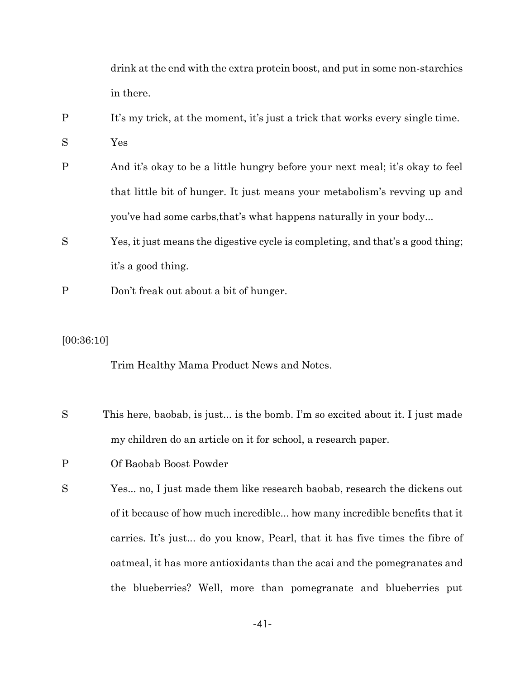drink at the end with the extra protein boost, and put in some non-starchies in there.

- P It's my trick, at the moment, it's just a trick that works every single time.
- S Yes
- P And it's okay to be a little hungry before your next meal; it's okay to feel that little bit of hunger. It just means your metabolism's revving up and you've had some carbs,that's what happens naturally in your body...
- S Yes, it just means the digestive cycle is completing, and that's a good thing; it's a good thing.
- P Don't freak out about a bit of hunger.

#### [00:36:10]

Trim Healthy Mama Product News and Notes.

- S This here, baobab, is just... is the bomb. I'm so excited about it. I just made my children do an article on it for school, a research paper.
- P Of Baobab Boost Powder
- S Yes... no, I just made them like research baobab, research the dickens out of it because of how much incredible... how many incredible benefits that it carries. It's just... do you know, Pearl, that it has five times the fibre of oatmeal, it has more antioxidants than the acai and the pomegranates and the blueberries? Well, more than pomegranate and blueberries put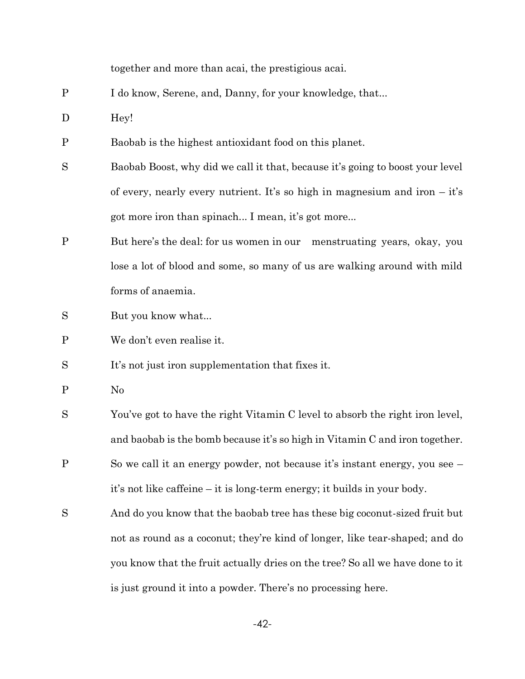together and more than acai, the prestigious acai.

- P I do know, Serene, and, Danny, for your knowledge, that...
- D Hey!
- P Baobab is the highest antioxidant food on this planet.
- S Baobab Boost, why did we call it that, because it's going to boost your level of every, nearly every nutrient. It's so high in magnesium and iron  $-$  it's got more iron than spinach... I mean, it's got more...
- P But here's the deal: for us women in our menstruating years, okay, you lose a lot of blood and some, so many of us are walking around with mild forms of anaemia.
- S But you know what...
- P We don't even realise it.
- S It's not just iron supplementation that fixes it.
- P No
- S You've got to have the right Vitamin C level to absorb the right iron level, and baobab is the bomb because it's so high in Vitamin C and iron together.
- P So we call it an energy powder, not because it's instant energy, you see it's not like caffeine – it is long-term energy; it builds in your body.
- S And do you know that the baobab tree has these big coconut-sized fruit but not as round as a coconut; they're kind of longer, like tear-shaped; and do you know that the fruit actually dries on the tree? So all we have done to it is just ground it into a powder. There's no processing here.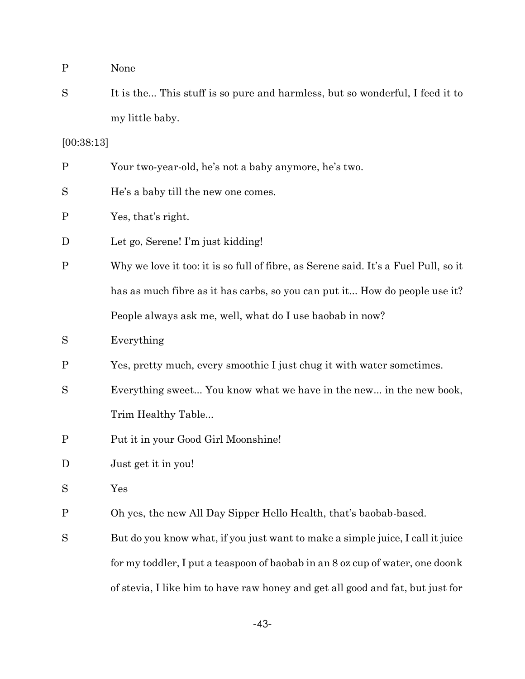S It is the... This stuff is so pure and harmless, but so wonderful, I feed it to my little baby.

[00:38:13]

| P | Your two-year-old, he's not a baby anymore, he's two. |  |  |
|---|-------------------------------------------------------|--|--|
|   |                                                       |  |  |

- S He's a baby till the new one comes.
- P Yes, that's right.
- D Let go, Serene! I'm just kidding!
- P Why we love it too: it is so full of fibre, as Serene said. It's a Fuel Pull, so it has as much fibre as it has carbs, so you can put it... How do people use it? People always ask me, well, what do I use baobab in now?
- S Everything
- P Yes, pretty much, every smoothie I just chug it with water sometimes.
- S Everything sweet... You know what we have in the new... in the new book, Trim Healthy Table...
- P Put it in your Good Girl Moonshine!
- D Just get it in you!
- S Yes
- P Oh yes, the new All Day Sipper Hello Health, that's baobab-based.
- S But do you know what, if you just want to make a simple juice, I call it juice for my toddler, I put a teaspoon of baobab in an 8 oz cup of water, one doonk of stevia, I like him to have raw honey and get all good and fat, but just for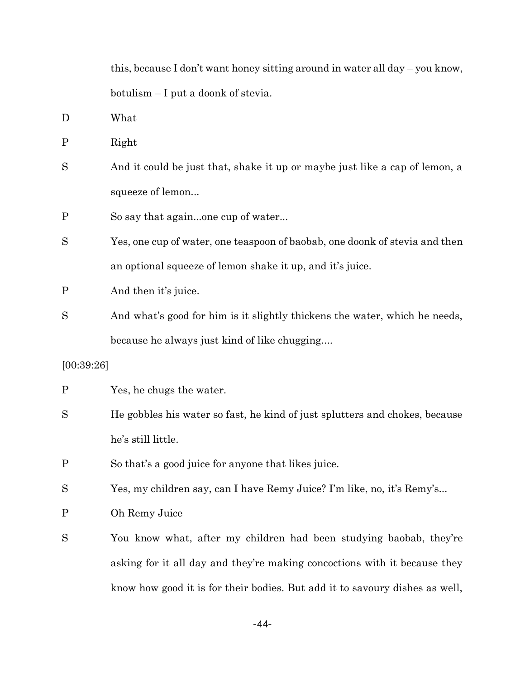this, because I don't want honey sitting around in water all day – you know, botulism – I put a doonk of stevia.

D What

P Right

S And it could be just that, shake it up or maybe just like a cap of lemon, a squeeze of lemon...

P So say that again...one cup of water...

S Yes, one cup of water, one teaspoon of baobab, one doonk of stevia and then an optional squeeze of lemon shake it up, and it's juice.

P And then it's juice.

S And what's good for him is it slightly thickens the water, which he needs, because he always just kind of like chugging....

#### [00:39:26]

P Yes, he chugs the water.

S He gobbles his water so fast, he kind of just splutters and chokes, because he's still little.

P So that's a good juice for anyone that likes juice.

S Yes, my children say, can I have Remy Juice? I'm like, no, it's Remy's...

P Oh Remy Juice

S You know what, after my children had been studying baobab, they're asking for it all day and they're making concoctions with it because they know how good it is for their bodies. But add it to savoury dishes as well,